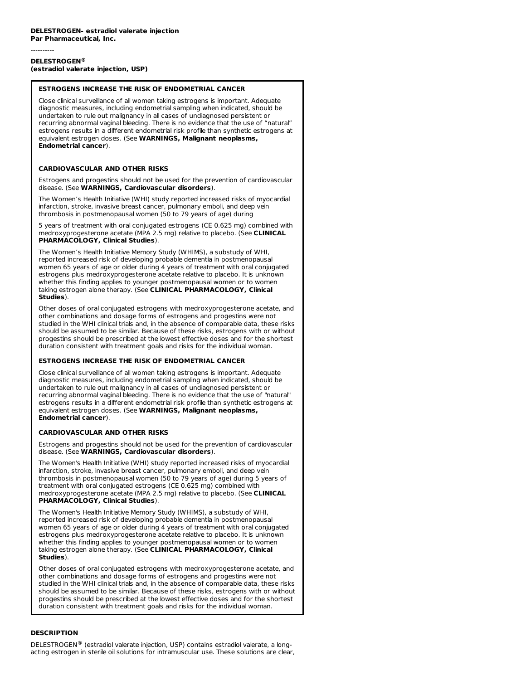# **DELESTROGEN ® (estradiol valerate injection, USP)**

----------

## **ESTROGENS INCREASE THE RISK OF ENDOMETRIAL CANCER**

Close clinical surveillance of all women taking estrogens is important. Adequate diagnostic measures, including endometrial sampling when indicated, should be undertaken to rule out malignancy in all cases of undiagnosed persistent or recurring abnormal vaginal bleeding. There is no evidence that the use of "natural" estrogens results in a different endometrial risk profile than synthetic estrogens at equivalent estrogen doses. (See **WARNINGS, Malignant neoplasms, Endometrial cancer**).

# **CARDIOVASCULAR AND OTHER RISKS**

Estrogens and progestins should not be used for the prevention of cardiovascular disease. (See **WARNINGS, Cardiovascular disorders**).

The Women's Health Initiative (WHI) study reported increased risks of myocardial infarction, stroke, invasive breast cancer, pulmonary emboli, and deep vein thrombosis in postmenopausal women (50 to 79 years of age) during

5 years of treatment with oral conjugated estrogens (CE 0.625 mg) combined with medroxyprogesterone acetate (MPA 2.5 mg) relative to placebo. (See **CLINICAL PHARMACOLOGY, Clinical Studies**).

The Women's Health Initiative Memory Study (WHIMS), a substudy of WHI, reported increased risk of developing probable dementia in postmenopausal women 65 years of age or older during 4 years of treatment with oral conjugated estrogens plus medroxyprogesterone acetate relative to placebo. It is unknown whether this finding applies to younger postmenopausal women or to women taking estrogen alone therapy. (See **CLINICAL PHARMACOLOGY, Clinical Studies**).

Other doses of oral conjugated estrogens with medroxyprogesterone acetate, and other combinations and dosage forms of estrogens and progestins were not studied in the WHI clinical trials and, in the absence of comparable data, these risks should be assumed to be similar. Because of these risks, estrogens with or without progestins should be prescribed at the lowest effective doses and for the shortest duration consistent with treatment goals and risks for the individual woman.

# **ESTROGENS INCREASE THE RISK OF ENDOMETRIAL CANCER**

Close clinical surveillance of all women taking estrogens is important. Adequate diagnostic measures, including endometrial sampling when indicated, should be undertaken to rule out malignancy in all cases of undiagnosed persistent or recurring abnormal vaginal bleeding. There is no evidence that the use of "natural" estrogens results in a different endometrial risk profile than synthetic estrogens at equivalent estrogen doses. (See **WARNINGS, Malignant neoplasms, Endometrial cancer**).

# **CARDIOVASCULAR AND OTHER RISKS**

Estrogens and progestins should not be used for the prevention of cardiovascular disease. (See **WARNINGS, Cardiovascular disorders**).

The Women's Health Initiative (WHI) study reported increased risks of myocardial infarction, stroke, invasive breast cancer, pulmonary emboli, and deep vein thrombosis in postmenopausal women (50 to 79 years of age) during 5 years of treatment with oral conjugated estrogens (CE 0.625 mg) combined with medroxyprogesterone acetate (MPA 2.5 mg) relative to placebo. (See **CLINICAL PHARMACOLOGY, Clinical Studies**).

The Women's Health Initiative Memory Study (WHIMS), a substudy of WHI, reported increased risk of developing probable dementia in postmenopausal women 65 years of age or older during 4 years of treatment with oral conjugated estrogens plus medroxyprogesterone acetate relative to placebo. It is unknown whether this finding applies to younger postmenopausal women or to women taking estrogen alone therapy. (See **CLINICAL PHARMACOLOGY, Clinical Studies**).

Other doses of oral conjugated estrogens with medroxyprogesterone acetate, and other combinations and dosage forms of estrogens and progestins were not studied in the WHI clinical trials and, in the absence of comparable data, these risks should be assumed to be similar. Because of these risks, estrogens with or without progestins should be prescribed at the lowest effective doses and for the shortest duration consistent with treatment goals and risks for the individual woman.

# **DESCRIPTION**

DELESTROGEN® (estradiol valerate injection, USP) contains estradiol valerate, a longacting estrogen in sterile oil solutions for intramuscular use. These solutions are clear,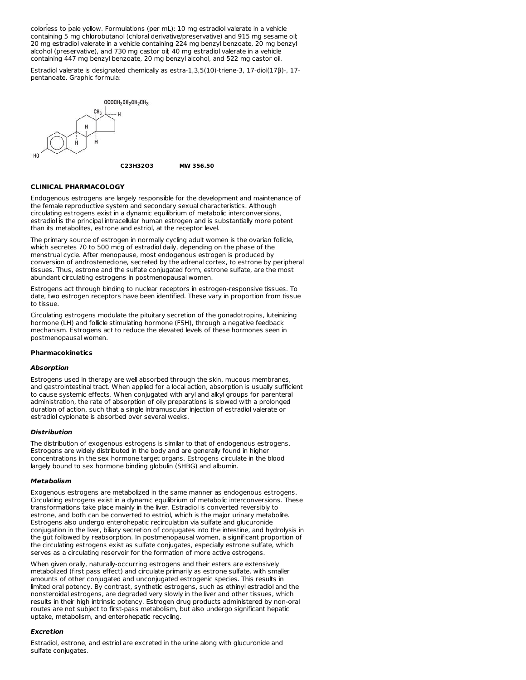acting estrogen in sterile oil solutions for intramuscular use. These solutions are clear, colorless to pale yellow. Formulations (per mL): 10 mg estradiol valerate in a vehicle containing 5 mg chlorobutanol (chloral derivative/preservative) and 915 mg sesame oil; 20 mg estradiol valerate in a vehicle containing 224 mg benzyl benzoate, 20 mg benzyl alcohol (preservative), and 730 mg castor oil; 40 mg estradiol valerate in a vehicle containing 447 mg benzyl benzoate, 20 mg benzyl alcohol, and 522 mg castor oil.

Estradiol valerate is designated chemically as estra-1,3,5(10)-triene-3, 17-diol(17β)-, 17 pentanoate. Graphic formula:



**C23H32O3 MW 356.50**

#### **CLINICAL PHARMACOLOGY**

Endogenous estrogens are largely responsible for the development and maintenance of the female reproductive system and secondary sexual characteristics. Although circulating estrogens exist in a dynamic equilibrium of metabolic interconversions, estradiol is the principal intracellular human estrogen and is substantially more potent than its metabolites, estrone and estriol, at the receptor level.

The primary source of estrogen in normally cycling adult women is the ovarian follicle, which secretes 70 to 500 mcg of estradiol daily, depending on the phase of the menstrual cycle. After menopause, most endogenous estrogen is produced by conversion of androstenedione, secreted by the adrenal cortex, to estrone by peripheral tissues. Thus, estrone and the sulfate conjugated form, estrone sulfate, are the most abundant circulating estrogens in postmenopausal women.

Estrogens act through binding to nuclear receptors in estrogen-responsive tissues. To date, two estrogen receptors have been identified. These vary in proportion from tissue to tissue.

Circulating estrogens modulate the pituitary secretion of the gonadotropins, luteinizing hormone (LH) and follicle stimulating hormone (FSH), through a negative feedback mechanism. Estrogens act to reduce the elevated levels of these hormones seen in postmenopausal women.

#### **Pharmacokinetics**

#### **Absorption**

Estrogens used in therapy are well absorbed through the skin, mucous membranes, and gastrointestinal tract. When applied for a local action, absorption is usually sufficient to cause systemic effects. When conjugated with aryl and alkyl groups for parenteral administration, the rate of absorption of oily preparations is slowed with a prolonged duration of action, such that a single intramuscular injection of estradiol valerate or estradiol cypionate is absorbed over several weeks.

#### **Distribution**

The distribution of exogenous estrogens is similar to that of endogenous estrogens. Estrogens are widely distributed in the body and are generally found in higher concentrations in the sex hormone target organs. Estrogens circulate in the blood largely bound to sex hormone binding globulin (SHBG) and albumin.

#### **Metabolism**

Exogenous estrogens are metabolized in the same manner as endogenous estrogens. Circulating estrogens exist in a dynamic equilibrium of metabolic interconversions. These transformations take place mainly in the liver. Estradiol is converted reversibly to estrone, and both can be converted to estriol, which is the major urinary metabolite. Estrogens also undergo enterohepatic recirculation via sulfate and glucuronide conjugation in the liver, biliary secretion of conjugates into the intestine, and hydrolysis in the gut followed by reabsorption. In postmenopausal women, a significant proportion of the circulating estrogens exist as sulfate conjugates, especially estrone sulfate, which serves as a circulating reservoir for the formation of more active estrogens.

When given orally, naturally-occurring estrogens and their esters are extensively metabolized (first pass effect) and circulate primarily as estrone sulfate, with smaller amounts of other conjugated and unconjugated estrogenic species. This results in limited oral potency. By contrast, synthetic estrogens, such as ethinyl estradiol and the nonsteroidal estrogens, are degraded very slowly in the liver and other tissues, which results in their high intrinsic potency. Estrogen drug products administered by non-oral routes are not subject to first-pass metabolism, but also undergo significant hepatic uptake, metabolism, and enterohepatic recycling.

#### **Excretion**

Estradiol, estrone, and estriol are excreted in the urine along with glucuronide and sulfate conjugates.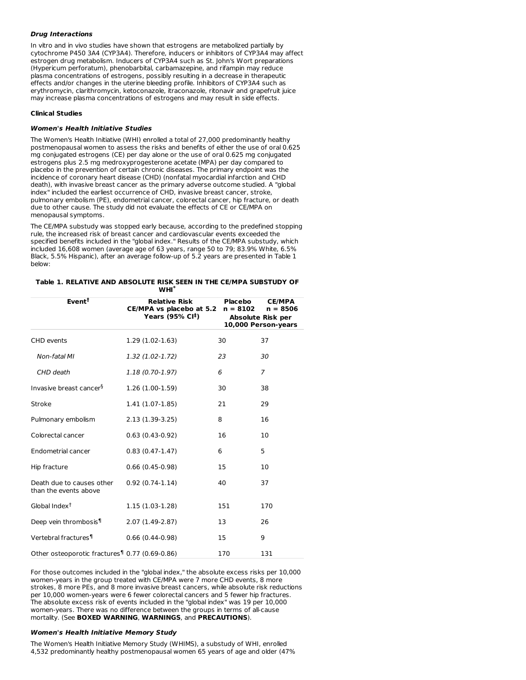#### **Drug Interactions**

In vitro and in vivo studies have shown that estrogens are metabolized partially by cytochrome P450 3A4 (CYP3A4). Therefore, inducers or inhibitors of CYP3A4 may affect estrogen drug metabolism. Inducers of CYP3A4 such as St. John's Wort preparations (Hypericum perforatum), phenobarbital, carbamazepine, and rifampin may reduce plasma concentrations of estrogens, possibly resulting in a decrease in therapeutic effects and/or changes in the uterine bleeding profile. Inhibitors of CYP3A4 such as erythromycin, clarithromycin, ketoconazole, itraconazole, ritonavir and grapefruit juice may increase plasma concentrations of estrogens and may result in side effects.

## **Clinical Studies**

#### **Women's Health Initiative Studies**

The Women's Health Initiative (WHI) enrolled a total of 27,000 predominantly healthy postmenopausal women to assess the risks and benefits of either the use of oral 0.625 mg conjugated estrogens (CE) per day alone or the use of oral 0.625 mg conjugated estrogens plus 2.5 mg medroxyprogesterone acetate (MPA) per day compared to placebo in the prevention of certain chronic diseases. The primary endpoint was the incidence of coronary heart disease (CHD) (nonfatal myocardial infarction and CHD death), with invasive breast cancer as the primary adverse outcome studied. A "global index" included the earliest occurrence of CHD, invasive breast cancer, stroke, pulmonary embolism (PE), endometrial cancer, colorectal cancer, hip fracture, or death due to other cause. The study did not evaluate the effects of CE or CE/MPA on menopausal symptoms.

The CE/MPA substudy was stopped early because, according to the predefined stopping rule, the increased risk of breast cancer and cardiovascular events exceeded the specified benefits included in the "global index." Results of the CE/MPA substudy, which included 16,608 women (average age of 63 years, range 50 to 79; 83.9% White, 6.5% Black, 5.5% Hispanic), after an average follow-up of 5.2 years are presented in Table 1 below:

#### **Table 1. RELATIVE AND ABSOLUTE RISK SEEN IN THE CE/MPA SUBSTUDY OF WHI \***

| Event <sup>†</sup>                                         | <b>Relative Risk</b><br>CE/MPA vs placebo at 5.2<br>Years (95% CI <sup>‡</sup> ) | <b>Placebo</b><br>$n = 8102$ | <b>CE/MPA</b><br>$n = 8506$<br><b>Absolute Risk per</b><br>10,000 Person-years |
|------------------------------------------------------------|----------------------------------------------------------------------------------|------------------------------|--------------------------------------------------------------------------------|
| CHD events                                                 | $1.29(1.02-1.63)$                                                                | 30                           | 37                                                                             |
| Non-fatal MI                                               | 1.32 (1.02-1.72)                                                                 | 23                           | 30                                                                             |
| CHD death                                                  | 1.18 (0.70-1.97)                                                                 | 6                            | $\overline{7}$                                                                 |
| Invasive breast cancer <sup>§</sup>                        | 1.26 (1.00-1.59)                                                                 | 30                           | 38                                                                             |
| <b>Stroke</b>                                              | 1.41 (1.07-1.85)                                                                 | 21                           | 29                                                                             |
| Pulmonary embolism                                         | $2.13(1.39-3.25)$                                                                | 8                            | 16                                                                             |
| Colorectal cancer                                          | $0.63(0.43-0.92)$                                                                | 16                           | 10                                                                             |
| Endometrial cancer                                         | $0.83(0.47-1.47)$                                                                | 6                            | 5                                                                              |
| Hip fracture                                               | $0.66(0.45-0.98)$                                                                | 15                           | 10                                                                             |
| Death due to causes other<br>than the events above         | $0.92(0.74-1.14)$                                                                | 40                           | 37                                                                             |
| Global Index <sup>†</sup>                                  | 1.15 (1.03-1.28)                                                                 | 151                          | 170                                                                            |
| Deep vein thrombosis <sup>1</sup>                          | 2.07 (1.49-2.87)                                                                 | 13                           | 26                                                                             |
| Vertebral fractures <sup>1</sup>                           | $0.66(0.44-0.98)$                                                                | 15                           | 9                                                                              |
| Other osteoporotic fractures <sup>1</sup> 0.77 (0.69-0.86) |                                                                                  | 170                          | 131                                                                            |

For those outcomes included in the "global index," the absolute excess risks per 10,000 women-years in the group treated with CE/MPA were 7 more CHD events, 8 more strokes, 8 more PEs, and 8 more invasive breast cancers, while absolute risk reductions per 10,000 women-years were 6 fewer colorectal cancers and 5 fewer hip fractures. The absolute excess risk of events included in the "global index" was 19 per 10,000 women-years. There was no difference between the groups in terms of all-cause mortality. (See **BOXED WARNING**, **WARNINGS**, and **PRECAUTIONS**).

#### **Women's Health Initiative Memory Study**

The Women's Health Initiative Memory Study (WHIMS), a substudy of WHI, enrolled 4,532 predominantly healthy postmenopausal women 65 years of age and older (47%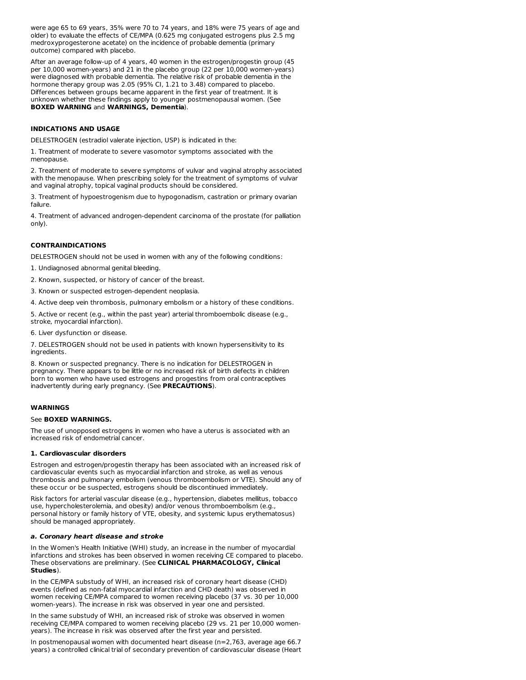were age 65 to 69 years, 35% were 70 to 74 years, and 18% were 75 years of age and older) to evaluate the effects of CE/MPA (0.625 mg conjugated estrogens plus 2.5 mg medroxyprogesterone acetate) on the incidence of probable dementia (primary outcome) compared with placebo.

After an average follow-up of 4 years, 40 women in the estrogen/progestin group (45 per 10,000 women-years) and 21 in the placebo group (22 per 10,000 women-years) were diagnosed with probable dementia. The relative risk of probable dementia in the hormone therapy group was 2.05 (95% CI, 1.21 to 3.48) compared to placebo. Differences between groups became apparent in the first year of treatment. It is unknown whether these findings apply to younger postmenopausal women. (See **BOXED WARNING** and **WARNINGS, Dementia**).

#### **INDICATIONS AND USAGE**

DELESTROGEN (estradiol valerate injection, USP) is indicated in the:

1. Treatment of moderate to severe vasomotor symptoms associated with the menopause.

2. Treatment of moderate to severe symptoms of vulvar and vaginal atrophy associated with the menopause. When prescribing solely for the treatment of symptoms of vulvar and vaginal atrophy, topical vaginal products should be considered.

3. Treatment of hypoestrogenism due to hypogonadism, castration or primary ovarian failure.

4. Treatment of advanced androgen-dependent carcinoma of the prostate (for palliation only).

# **CONTRAINDICATIONS**

DELESTROGEN should not be used in women with any of the following conditions:

1. Undiagnosed abnormal genital bleeding.

- 2. Known, suspected, or history of cancer of the breast.
- 3. Known or suspected estrogen-dependent neoplasia.

4. Active deep vein thrombosis, pulmonary embolism or a history of these conditions.

5. Active or recent (e.g., within the past year) arterial thromboembolic disease (e.g., stroke, myocardial infarction).

6. Liver dysfunction or disease.

7. DELESTROGEN should not be used in patients with known hypersensitivity to its ingredients.

8. Known or suspected pregnancy. There is no indication for DELESTROGEN in pregnancy. There appears to be little or no increased risk of birth defects in children born to women who have used estrogens and progestins from oral contraceptives inadvertently during early pregnancy. (See **PRECAUTIONS**).

#### **WARNINGS**

#### See **BOXED WARNINGS.**

The use of unopposed estrogens in women who have a uterus is associated with an increased risk of endometrial cancer.

#### **1. Cardiovascular disorders**

Estrogen and estrogen/progestin therapy has been associated with an increased risk of cardiovascular events such as myocardial infarction and stroke, as well as venous thrombosis and pulmonary embolism (venous thromboembolism or VTE). Should any of these occur or be suspected, estrogens should be discontinued immediately.

Risk factors for arterial vascular disease (e.g., hypertension, diabetes mellitus, tobacco use, hypercholesterolemia, and obesity) and/or venous thromboembolism (e.g., personal history or family history of VTE, obesity, and systemic lupus erythematosus) should be managed appropriately.

## **a. Coronary heart disease and stroke**

In the Women's Health Initiative (WHI) study, an increase in the number of myocardial infarctions and strokes has been observed in women receiving CE compared to placebo. These observations are preliminary. (See **CLINICAL PHARMACOLOGY, Clinical Studies**).

In the CE/MPA substudy of WHI, an increased risk of coronary heart disease (CHD) events (defined as non-fatal myocardial infarction and CHD death) was observed in women receiving CE/MPA compared to women receiving placebo (37 vs. 30 per 10,000 women-years). The increase in risk was observed in year one and persisted.

In the same substudy of WHI, an increased risk of stroke was observed in women receiving CE/MPA compared to women receiving placebo (29 vs. 21 per 10,000 womenyears). The increase in risk was observed after the first year and persisted.

In postmenopausal women with documented heart disease (n=2,763, average age 66.7 years) a controlled clinical trial of secondary prevention of cardiovascular disease (Heart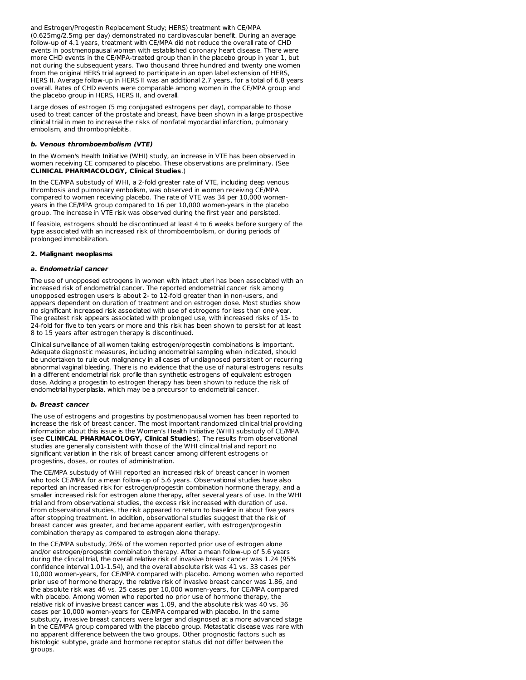and Estrogen/Progestin Replacement Study; HERS) treatment with CE/MPA (0.625mg/2.5mg per day) demonstrated no cardiovascular benefit. During an average follow-up of 4.1 years, treatment with CE/MPA did not reduce the overall rate of CHD events in postmenopausal women with established coronary heart disease. There were more CHD events in the CE/MPA-treated group than in the placebo group in year 1, but not during the subsequent years. Two thousand three hundred and twenty one women from the original HERS trial agreed to participate in an open label extension of HERS, HERS II. Average follow-up in HERS II was an additional 2.7 years, for a total of 6.8 years overall. Rates of CHD events were comparable among women in the CE/MPA group and the placebo group in HERS, HERS II, and overall.

Large doses of estrogen (5 mg conjugated estrogens per day), comparable to those used to treat cancer of the prostate and breast, have been shown in a large prospective clinical trial in men to increase the risks of nonfatal myocardial infarction, pulmonary embolism, and thrombophlebitis.

#### **b. Venous thromboembolism (VTE)**

In the Women's Health Initiative (WHI) study, an increase in VTE has been observed in women receiving CE compared to placebo. These observations are preliminary. (See **CLINICAL PHARMACOLOGY, Clinical Studies**.)

In the CE/MPA substudy of WHI, a 2-fold greater rate of VTE, including deep venous thrombosis and pulmonary embolism, was observed in women receiving CE/MPA compared to women receiving placebo. The rate of VTE was 34 per 10,000 womenyears in the CE/MPA group compared to 16 per 10,000 women-years in the placebo group. The increase in VTE risk was observed during the first year and persisted.

If feasible, estrogens should be discontinued at least 4 to 6 weeks before surgery of the type associated with an increased risk of thromboembolism, or during periods of prolonged immobilization.

#### **2. Malignant neoplasms**

#### **a. Endometrial cancer**

The use of unopposed estrogens in women with intact uteri has been associated with an increased risk of endometrial cancer. The reported endometrial cancer risk among unopposed estrogen users is about 2- to 12-fold greater than in non-users, and appears dependent on duration of treatment and on estrogen dose. Most studies show no significant increased risk associated with use of estrogens for less than one year. The greatest risk appears associated with prolonged use, with increased risks of 15- to 24-fold for five to ten years or more and this risk has been shown to persist for at least 8 to 15 years after estrogen therapy is discontinued.

Clinical surveillance of all women taking estrogen/progestin combinations is important. Adequate diagnostic measures, including endometrial sampling when indicated, should be undertaken to rule out malignancy in all cases of undiagnosed persistent or recurring abnormal vaginal bleeding. There is no evidence that the use of natural estrogens results in a different endometrial risk profile than synthetic estrogens of equivalent estrogen dose. Adding a progestin to estrogen therapy has been shown to reduce the risk of endometrial hyperplasia, which may be a precursor to endometrial cancer.

### **b. Breast cancer**

The use of estrogens and progestins by postmenopausal women has been reported to increase the risk of breast cancer. The most important randomized clinical trial providing information about this issue is the Women's Health Initiative (WHI) substudy of CE/MPA (see **CLINICAL PHARMACOLOGY, Clinical Studies**). The results from observational studies are generally consistent with those of the WHI clinical trial and report no significant variation in the risk of breast cancer among different estrogens or progestins, doses, or routes of administration.

The CE/MPA substudy of WHI reported an increased risk of breast cancer in women who took CE/MPA for a mean follow-up of 5.6 years. Observational studies have also reported an increased risk for estrogen/progestin combination hormone therapy, and a smaller increased risk for estrogen alone therapy, after several years of use. In the WHI trial and from observational studies, the excess risk increased with duration of use. From observational studies, the risk appeared to return to baseline in about five years after stopping treatment. In addition, observational studies suggest that the risk of breast cancer was greater, and became apparent earlier, with estrogen/progestin combination therapy as compared to estrogen alone therapy.

In the CE/MPA substudy, 26% of the women reported prior use of estrogen alone and/or estrogen/progestin combination therapy. After a mean follow-up of 5.6 years during the clinical trial, the overall relative risk of invasive breast cancer was 1.24 (95% confidence interval 1.01-1.54), and the overall absolute risk was 41 vs. 33 cases per 10,000 women-years, for CE/MPA compared with placebo. Among women who reported prior use of hormone therapy, the relative risk of invasive breast cancer was 1.86, and the absolute risk was 46 vs. 25 cases per 10,000 women-years, for CE/MPA compared with placebo. Among women who reported no prior use of hormone therapy, the relative risk of invasive breast cancer was 1.09, and the absolute risk was 40 vs. 36 cases per 10,000 women-years for CE/MPA compared with placebo. In the same substudy, invasive breast cancers were larger and diagnosed at a more advanced stage in the CE/MPA group compared with the placebo group. Metastatic disease was rare with no apparent difference between the two groups. Other prognostic factors such as histologic subtype, grade and hormone receptor status did not differ between the groups.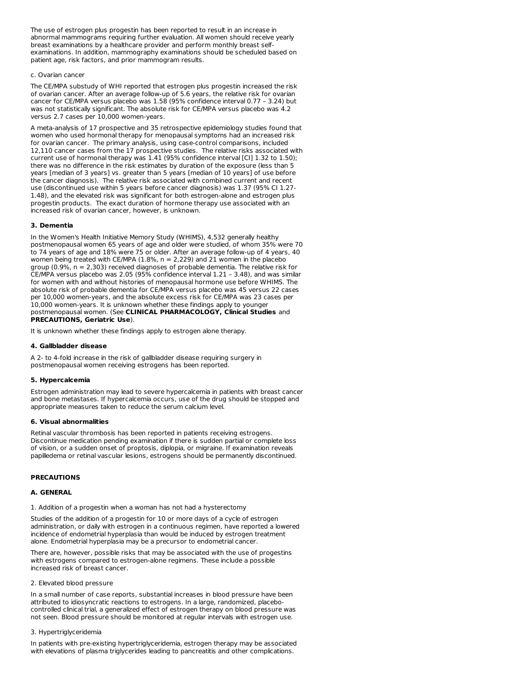The use of estrogen plus progestin has been reported to result in an increase in abnormal mammograms requiring further evaluation. All women should receive yearly breast examinations by a healthcare provider and perform monthly breast selfexaminations. In addition, mammography examinations should be scheduled based on patient age, risk factors, and prior mammogram results.

## c. Ovarian cancer

The CE/MPA substudy of WHI reported that estrogen plus progestin increased the risk of ovarian cancer. After an average follow-up of 5.6 years, the relative risk for ovarian cancer for CE/MPA versus placebo was 1.58 (95% confidence interval 0.77 – 3.24) but was not statistically significant. The absolute risk for CE/MPA versus placebo was 4.2 versus 2.7 cases per 10,000 women-years.

A meta-analysis of 17 prospective and 35 retrospective epidemiology studies found that women who used hormonal therapy for menopausal symptoms had an increased risk for ovarian cancer. The primary analysis, using case-control comparisons, included 12,110 cancer cases from the 17 prospective studies. The relative risks associated with current use of hormonal therapy was 1.41 (95% confidence interval [CI] 1.32 to 1.50); there was no difference in the risk estimates by duration of the exposure (less than 5 years [median of 3 years] vs. greater than 5 years [median of 10 years] of use before the cancer diagnosis). The relative risk associated with combined current and recent use (discontinued use within 5 years before cancer diagnosis) was 1.37 (95% CI 1.27- 1.48), and the elevated risk was significant for both estrogen-alone and estrogen plus progestin products. The exact duration of hormone therapy use associated with an increased risk of ovarian cancer, however, is unknown.

## **3. Dementia**

In the Women's Health Initiative Memory Study (WHIMS), 4,532 generally healthy postmenopausal women 65 years of age and older were studied, of whom 35% were 70 to 74 years of age and 18% were 75 or older. After an average follow-up of 4 years, 40 women being treated with CE/MPA (1.8%,  $n = 2,229$ ) and 21 women in the placebo group (0.9%,  $n = 2,303$ ) received diagnoses of probable dementia. The relative risk for CE/MPA versus placebo was 2.05 (95% confidence interval 1.21 – 3.48), and was similar for women with and without histories of menopausal hormone use before WHIMS. The absolute risk of probable dementia for CE/MPA versus placebo was 45 versus 22 cases per 10,000 women-years, and the absolute excess risk for CE/MPA was 23 cases per 10,000 women-years. It is unknown whether these findings apply to younger postmenopausal women. (See **CLINICAL PHARMACOLOGY, Clinical Studies** and **PRECAUTIONS, Geriatric Use**).

It is unknown whether these findings apply to estrogen alone therapy.

#### **4. Gallbladder disease**

A 2- to 4-fold increase in the risk of gallbladder disease requiring surgery in postmenopausal women receiving estrogens has been reported.

#### **5. Hypercalcemia**

Estrogen administration may lead to severe hypercalcemia in patients with breast cancer and bone metastases. If hypercalcemia occurs, use of the drug should be stopped and appropriate measures taken to reduce the serum calcium level.

#### **6. Visual abnormalities**

Retinal vascular thrombosis has been reported in patients receiving estrogens. Discontinue medication pending examination if there is sudden partial or complete loss of vision, or a sudden onset of proptosis, diplopia, or migraine. If examination reveals papilledema or retinal vascular lesions, estrogens should be permanently discontinued.

### **PRECAUTIONS**

#### **A. GENERAL**

1. Addition of a progestin when a woman has not had a hysterectomy

Studies of the addition of a progestin for 10 or more days of a cycle of estrogen administration, or daily with estrogen in a continuous regimen, have reported a lowered incidence of endometrial hyperplasia than would be induced by estrogen treatment alone. Endometrial hyperplasia may be a precursor to endometrial cancer.

There are, however, possible risks that may be associated with the use of progestins with estrogens compared to estrogen-alone regimens. These include a possible increased risk of breast cancer.

#### 2. Elevated blood pressure

In a small number of case reports, substantial increases in blood pressure have been attributed to idiosyncratic reactions to estrogens. In a large, randomized, placebocontrolled clinical trial, a generalized effect of estrogen therapy on blood pressure was not seen. Blood pressure should be monitored at regular intervals with estrogen use.

#### 3. Hypertriglyceridemia

In patients with pre-existing hypertriglyceridemia, estrogen therapy may be associated with elevations of plasma triglycerides leading to pancreatitis and other complications.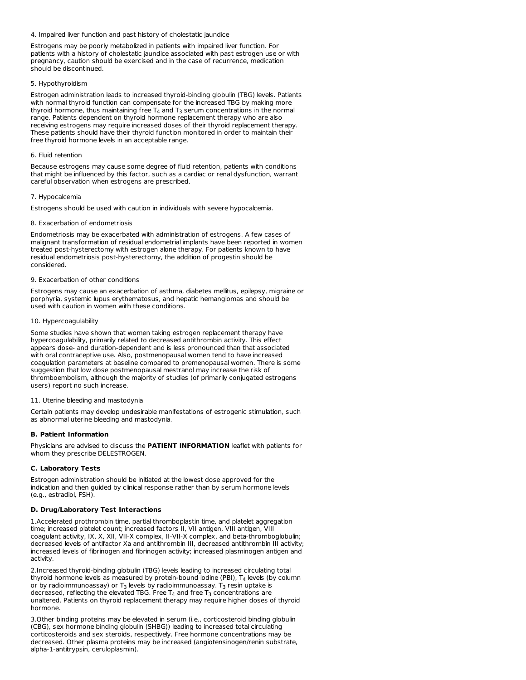#### 4. Impaired liver function and past history of cholestatic jaundice

Estrogens may be poorly metabolized in patients with impaired liver function. For patients with a history of cholestatic jaundice associated with past estrogen use or with pregnancy, caution should be exercised and in the case of recurrence, medication should be discontinued.

#### 5. Hypothyroidism

Estrogen administration leads to increased thyroid-binding globulin (TBG) levels. Patients with normal thyroid function can compensate for the increased TBG by making more thyroid hormone, thus maintaining free T $_4$  and T $_3$  serum concentrations in the normal range. Patients dependent on thyroid hormone replacement therapy who are also receiving estrogens may require increased doses of their thyroid replacement therapy. These patients should have their thyroid function monitored in order to maintain their free thyroid hormone levels in an acceptable range.

#### 6. Fluid retention

Because estrogens may cause some degree of fluid retention, patients with conditions that might be influenced by this factor, such as a cardiac or renal dysfunction, warrant careful observation when estrogens are prescribed.

# 7. Hypocalcemia

Estrogens should be used with caution in individuals with severe hypocalcemia.

#### 8. Exacerbation of endometriosis

Endometriosis may be exacerbated with administration of estrogens. A few cases of malignant transformation of residual endometrial implants have been reported in women treated post-hysterectomy with estrogen alone therapy. For patients known to have residual endometriosis post-hysterectomy, the addition of progestin should be considered.

#### 9. Exacerbation of other conditions

Estrogens may cause an exacerbation of asthma, diabetes mellitus, epilepsy, migraine or porphyria, systemic lupus erythematosus, and hepatic hemangiomas and should be used with caution in women with these conditions.

#### 10. Hypercoagulability

Some studies have shown that women taking estrogen replacement therapy have hypercoagulability, primarily related to decreased antithrombin activity. This effect appears dose- and duration-dependent and is less pronounced than that associated with oral contraceptive use. Also, postmenopausal women tend to have increased coagulation parameters at baseline compared to premenopausal women. There is some suggestion that low dose postmenopausal mestranol may increase the risk of thromboembolism, although the majority of studies (of primarily conjugated estrogens users) report no such increase.

#### 11. Uterine bleeding and mastodynia

Certain patients may develop undesirable manifestations of estrogenic stimulation, such as abnormal uterine bleeding and mastodynia.

#### **B. Patient Information**

Physicians are advised to discuss the **PATIENT INFORMATION** leaflet with patients for whom they prescribe DELESTROGEN.

#### **C. Laboratory Tests**

Estrogen administration should be initiated at the lowest dose approved for the indication and then guided by clinical response rather than by serum hormone levels (e.g., estradiol, FSH).

### **D. Drug/Laboratory Test Interactions**

1.Accelerated prothrombin time, partial thromboplastin time, and platelet aggregation time; increased platelet count; increased factors II, VII antigen, VIII antigen, VIII coagulant activity, IX, X, XII, VII-X complex, II-VII-X complex, and beta-thromboglobulin; decreased levels of antifactor Xa and antithrombin III, decreased antithrombin III activity; increased levels of fibrinogen and fibrinogen activity; increased plasminogen antigen and activity.

2.Increased thyroid-binding globulin (TBG) levels leading to increased circulating total thyroid hormone levels as measured by protein-bound iodine (PBI),  ${\tt T_4}$  levels (by column or by radioimmunoassay) or T $_3$  levels by radioimmunoassay. T $_3$  resin uptake is decreased, reflecting the elevated TBG. Free T $_4$  and free T $_3$  concentrations are unaltered. Patients on thyroid replacement therapy may require higher doses of thyroid hormone.

3.Other binding proteins may be elevated in serum (i.e., corticosteroid binding globulin (CBG), sex hormone binding globulin (SHBG)) leading to increased total circulating corticosteroids and sex steroids, respectively. Free hormone concentrations may be decreased. Other plasma proteins may be increased (angiotensinogen/renin substrate, alpha-1-antitrypsin, ceruloplasmin).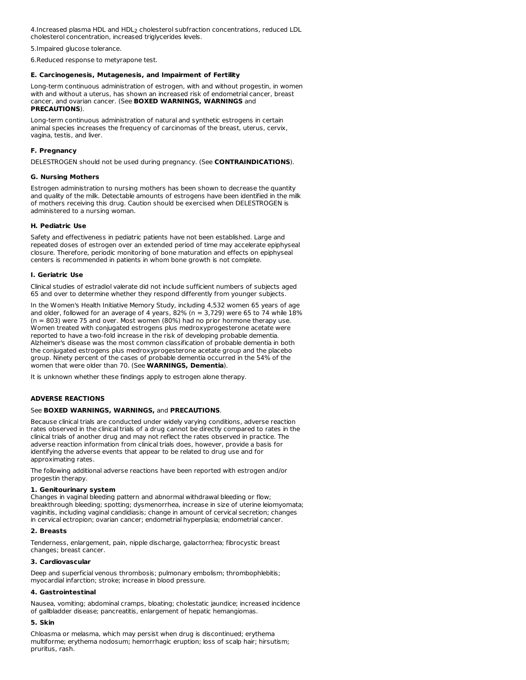4.Increased plasma HDL and  $\mathsf{HDL}_2$  cholesterol subfraction concentrations, reduced LDL cholesterol concentration, increased triglycerides levels.

5.Impaired glucose tolerance.

6.Reduced response to metyrapone test.

## **E. Carcinogenesis, Mutagenesis, and Impairment of Fertility**

Long-term continuous administration of estrogen, with and without progestin, in women with and without a uterus, has shown an increased risk of endometrial cancer, breast cancer, and ovarian cancer. (See **BOXED WARNINGS, WARNINGS** and **PRECAUTIONS**).

Long-term continuous administration of natural and synthetic estrogens in certain animal species increases the frequency of carcinomas of the breast, uterus, cervix, vagina, testis, and liver.

# **F. Pregnancy**

DELESTROGEN should not be used during pregnancy. (See **CONTRAINDICATIONS**).

## **G. Nursing Mothers**

Estrogen administration to nursing mothers has been shown to decrease the quantity and quality of the milk. Detectable amounts of estrogens have been identified in the milk of mothers receiving this drug. Caution should be exercised when DELESTROGEN is administered to a nursing woman.

## **H. Pediatric Use**

Safety and effectiveness in pediatric patients have not been established. Large and repeated doses of estrogen over an extended period of time may accelerate epiphyseal closure. Therefore, periodic monitoring of bone maturation and effects on epiphyseal centers is recommended in patients in whom bone growth is not complete.

## **I. Geriatric Use**

Clinical studies of estradiol valerate did not include sufficient numbers of subjects aged 65 and over to determine whether they respond differently from younger subjects.

In the Women's Health Initiative Memory Study, including 4,532 women 65 years of age and older, followed for an average of 4 years, 82% ( $n = 3,729$ ) were 65 to 74 while 18%  $(n = 803)$  were 75 and over. Most women (80%) had no prior hormone therapy use. Women treated with conjugated estrogens plus medroxyprogesterone acetate were reported to have a two-fold increase in the risk of developing probable dementia. Alzheimer's disease was the most common classification of probable dementia in both the conjugated estrogens plus medroxyprogesterone acetate group and the placebo group. Ninety percent of the cases of probable dementia occurred in the 54% of the women that were older than 70. (See **WARNINGS, Dementia**).

It is unknown whether these findings apply to estrogen alone therapy.

#### **ADVERSE REACTIONS**

## See **BOXED WARNINGS, WARNINGS,** and **PRECAUTIONS**.

Because clinical trials are conducted under widely varying conditions, adverse reaction rates observed in the clinical trials of a drug cannot be directly compared to rates in the clinical trials of another drug and may not reflect the rates observed in practice. The adverse reaction information from clinical trials does, however, provide a basis for identifying the adverse events that appear to be related to drug use and for approximating rates.

The following additional adverse reactions have been reported with estrogen and/or progestin therapy.

# **1. Genitourinary system**

Changes in vaginal bleeding pattern and abnormal withdrawal bleeding or flow; breakthrough bleeding; spotting; dysmenorrhea, increase in size of uterine leiomyomata; vaginitis, including vaginal candidiasis; change in amount of cervical secretion; changes in cervical ectropion; ovarian cancer; endometrial hyperplasia; endometrial cancer.

### **2. Breasts**

Tenderness, enlargement, pain, nipple discharge, galactorrhea; fibrocystic breast changes; breast cancer.

#### **3. Cardiovascular**

Deep and superficial venous thrombosis; pulmonary embolism; thrombophlebitis; myocardial infarction; stroke; increase in blood pressure.

#### **4. Gastrointestinal**

Nausea, vomiting; abdominal cramps, bloating; cholestatic jaundice; increased incidence of gallbladder disease; pancreatitis, enlargement of hepatic hemangiomas.

# **5. Skin**

Chloasma or melasma, which may persist when drug is discontinued; erythema multiforme; erythema nodosum; hemorrhagic eruption; loss of scalp hair; hirsutism; pruritus, rash.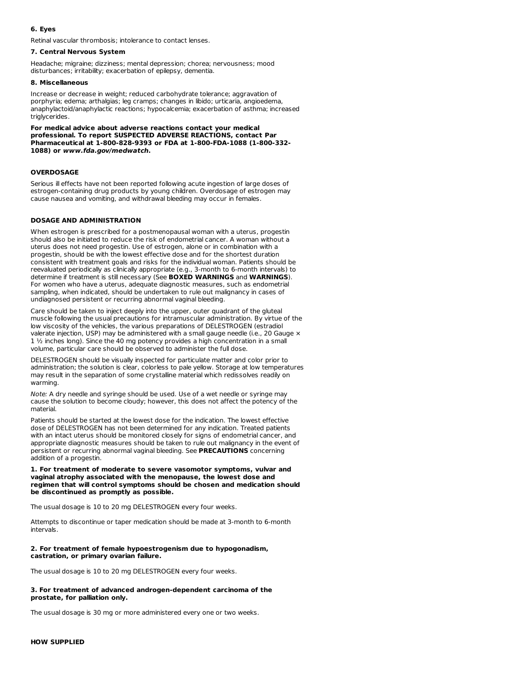## **6. Eyes**

Retinal vascular thrombosis; intolerance to contact lenses.

#### **7. Central Nervous System**

Headache; migraine; dizziness; mental depression; chorea; nervousness; mood disturbances; irritability; exacerbation of epilepsy, dementia.

#### **8. Miscellaneous**

Increase or decrease in weight; reduced carbohydrate tolerance; aggravation of porphyria; edema; arthalgias; leg cramps; changes in libido; urticaria, angioedema, anaphylactoid/anaphylactic reactions; hypocalcemia; exacerbation of asthma; increased triglycerides.

**For medical advice about adverse reactions contact your medical professional. To report SUSPECTED ADVERSE REACTIONS, contact Par Pharmaceutical at 1-800-828-9393 or FDA at 1-800-FDA-1088 (1-800-332- 1088) or www.fda.gov/medwatch.**

#### **OVERDOSAGE**

Serious ill effects have not been reported following acute ingestion of large doses of estrogen-containing drug products by young children. Overdosage of estrogen may cause nausea and vomiting, and withdrawal bleeding may occur in females.

#### **DOSAGE AND ADMINISTRATION**

When estrogen is prescribed for a postmenopausal woman with a uterus, progestin should also be initiated to reduce the risk of endometrial cancer. A woman without a uterus does not need progestin. Use of estrogen, alone or in combination with a progestin, should be with the lowest effective dose and for the shortest duration consistent with treatment goals and risks for the individual woman. Patients should be reevaluated periodically as clinically appropriate (e.g., 3-month to 6-month intervals) to determine if treatment is still necessary (See **BOXED WARNINGS** and **WARNINGS**). For women who have a uterus, adequate diagnostic measures, such as endometrial sampling, when indicated, should be undertaken to rule out malignancy in cases of undiagnosed persistent or recurring abnormal vaginal bleeding.

Care should be taken to inject deeply into the upper, outer quadrant of the gluteal muscle following the usual precautions for intramuscular administration. By virtue of the low viscosity of the vehicles, the various preparations of DELESTROGEN (estradiol valerate injection, USP) may be administered with a small gauge needle (i.e., 20 Gauge  $\times$ 1 ½ inches long). Since the 40 mg potency provides a high concentration in a small volume, particular care should be observed to administer the full dose.

DELESTROGEN should be visually inspected for particulate matter and color prior to administration; the solution is clear, colorless to pale yellow. Storage at low temperatures may result in the separation of some crystalline material which redissolves readily on warming.

Note: A dry needle and syringe should be used. Use of a wet needle or syringe may cause the solution to become cloudy; however, this does not affect the potency of the material.

Patients should be started at the lowest dose for the indication. The lowest effective dose of DELESTROGEN has not been determined for any indication. Treated patients with an intact uterus should be monitored closely for signs of endometrial cancer, and appropriate diagnostic measures should be taken to rule out malignancy in the event of persistent or recurring abnormal vaginal bleeding. See **PRECAUTIONS** concerning addition of a progestin.

#### **1. For treatment of moderate to severe vasomotor symptoms, vulvar and vaginal atrophy associated with the menopause, the lowest dose and regimen that will control symptoms should be chosen and medication should be discontinued as promptly as possible.**

The usual dosage is 10 to 20 mg DELESTROGEN every four weeks.

Attempts to discontinue or taper medication should be made at 3-month to 6-month intervals.

#### **2. For treatment of female hypoestrogenism due to hypogonadism, castration, or primary ovarian failure.**

The usual dosage is 10 to 20 mg DELESTROGEN every four weeks.

#### **3. For treatment of advanced androgen-dependent carcinoma of the prostate, for palliation only.**

The usual dosage is 30 mg or more administered every one or two weeks.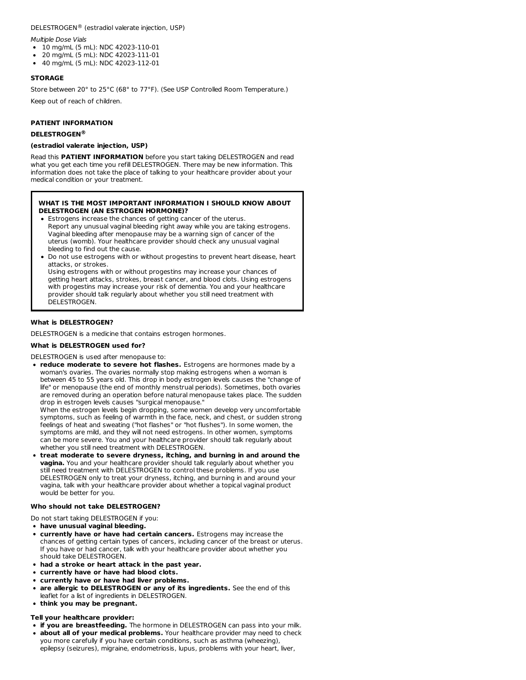DELESTROGEN® (estradiol valerate injection, USP)

#### Multiple Dose Vials

- 10 mg/mL (5 mL): NDC 42023-110-01
- 20 mg/mL (5 mL): NDC 42023-111-01
- 40 mg/mL (5 mL): NDC 42023-112-01

## **STORAGE**

Store between 20° to 25°C (68° to 77°F). (See USP Controlled Room Temperature.)

Keep out of reach of children.

# **PATIENT INFORMATION**

#### **DELESTROGEN ®**

## **(estradiol valerate injection, USP)**

Read this **PATIENT INFORMATION** before you start taking DELESTROGEN and read what you get each time you refill DELESTROGEN. There may be new information. This information does not take the place of talking to your healthcare provider about your medical condition or your treatment.

#### **WHAT IS THE MOST IMPORTANT INFORMATION I SHOULD KNOW ABOUT DELESTROGEN (AN ESTROGEN HORMONE)?**

- Estrogens increase the chances of getting cancer of the uterus. Report any unusual vaginal bleeding right away while you are taking estrogens. Vaginal bleeding after menopause may be a warning sign of cancer of the uterus (womb). Your healthcare provider should check any unusual vaginal bleeding to find out the cause.
- Do not use estrogens with or without progestins to prevent heart disease, heart attacks, or strokes.

Using estrogens with or without progestins may increase your chances of getting heart attacks, strokes, breast cancer, and blood clots. Using estrogens with progestins may increase your risk of dementia. You and your healthcare provider should talk regularly about whether you still need treatment with DELESTROGEN.

## **What is DELESTROGEN?**

DELESTROGEN is a medicine that contains estrogen hormones.

#### **What is DELESTROGEN used for?**

#### DELESTROGEN is used after menopause to:

**reduce moderate to severe hot flashes.** Estrogens are hormones made by a woman's ovaries. The ovaries normally stop making estrogens when a woman is between 45 to 55 years old. This drop in body estrogen levels causes the "change of life" or menopause (the end of monthly menstrual periods). Sometimes, both ovaries are removed during an operation before natural menopause takes place. The sudden drop in estrogen levels causes "surgical menopause."

When the estrogen levels begin dropping, some women develop very uncomfortable symptoms, such as feeling of warmth in the face, neck, and chest, or sudden strong feelings of heat and sweating ("hot flashes" or "hot flushes"). In some women, the symptoms are mild, and they will not need estrogens. In other women, symptoms can be more severe. You and your healthcare provider should talk regularly about whether you still need treatment with DELESTROGEN.

**treat moderate to severe dryness, itching, and burning in and around the vagina.** You and your healthcare provider should talk regularly about whether you still need treatment with DELESTROGEN to control these problems. If you use DELESTROGEN only to treat your dryness, itching, and burning in and around your vagina, talk with your healthcare provider about whether a topical vaginal product would be better for you.

# **Who should not take DELESTROGEN?**

Do not start taking DELESTROGEN if you:

- **have unusual vaginal bleeding.**
- **currently have or have had certain cancers.** Estrogens may increase the chances of getting certain types of cancers, including cancer of the breast or uterus. If you have or had cancer, talk with your healthcare provider about whether you should take DELESTROGEN.
- **had a stroke or heart attack in the past year.**
- **currently have or have had blood clots.**
- **currently have or have had liver problems.**
- **are allergic to DELESTROGEN or any of its ingredients.** See the end of this leaflet for a list of ingredients in DELESTROGEN.
- **think you may be pregnant.**

# **Tell your healthcare provider:**

- **if you are breastfeeding.** The hormone in DELESTROGEN can pass into your milk.
- **about all of your medical problems.** Your healthcare provider may need to check you more carefully if you have certain conditions, such as asthma (wheezing), epilepsy (seizures), migraine, endometriosis, lupus, problems with your heart, liver,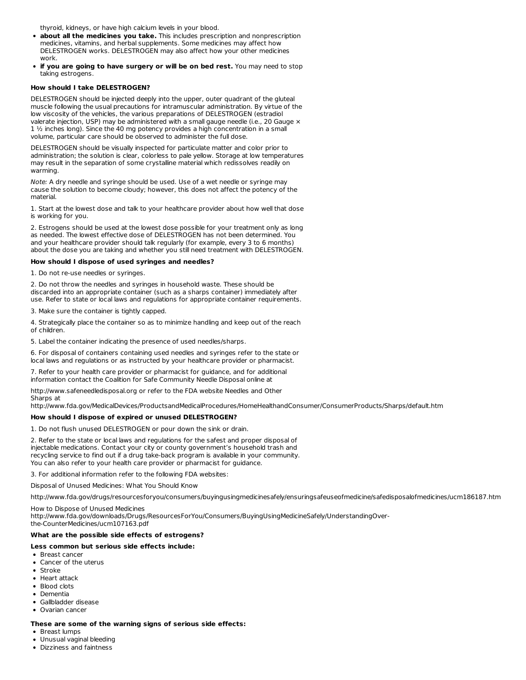thyroid, kidneys, or have high calcium levels in your blood.

- **about all the medicines you take.** This includes prescription and nonprescription medicines, vitamins, and herbal supplements. Some medicines may affect how DELESTROGEN works. DELESTROGEN may also affect how your other medicines work.
- **if you are going to have surgery or will be on bed rest.** You may need to stop taking estrogens.

#### **How should I take DELESTROGEN?**

DELESTROGEN should be injected deeply into the upper, outer quadrant of the gluteal muscle following the usual precautions for intramuscular administration. By virtue of the low viscosity of the vehicles, the various preparations of DELESTROGEN (estradiol valerate injection, USP) may be administered with a small gauge needle (i.e., 20 Gauge  $\times$ 1 ½ inches long). Since the 40 mg potency provides a high concentration in a small volume, particular care should be observed to administer the full dose.

DELESTROGEN should be visually inspected for particulate matter and color prior to administration; the solution is clear, colorless to pale yellow. Storage at low temperatures may result in the separation of some crystalline material which redissolves readily on warming.

Note: A dry needle and syringe should be used. Use of a wet needle or syringe may cause the solution to become cloudy; however, this does not affect the potency of the material.

1. Start at the lowest dose and talk to your healthcare provider about how well that dose is working for you.

2. Estrogens should be used at the lowest dose possible for your treatment only as long as needed. The lowest effective dose of DELESTROGEN has not been determined. You and your healthcare provider should talk regularly (for example, every 3 to 6 months) about the dose you are taking and whether you still need treatment with DELESTROGEN.

#### **How should I dispose of used syringes and needles?**

1. Do not re-use needles or syringes.

2. Do not throw the needles and syringes in household waste. These should be discarded into an appropriate container (such as a sharps container) immediately after use. Refer to state or local laws and regulations for appropriate container requirements.

3. Make sure the container is tightly capped.

4. Strategically place the container so as to minimize handling and keep out of the reach of children.

5. Label the container indicating the presence of used needles/sharps.

6. For disposal of containers containing used needles and syringes refer to the state or local laws and regulations or as instructed by your healthcare provider or pharmacist.

7. Refer to your health care provider or pharmacist for guidance, and for additional information contact the Coalition for Safe Community Needle Disposal online at

http://www.safeneedledisposal.org or refer to the FDA website Needles and Other Sharps at

http://www.fda.gov/MedicalDevices/ProductsandMedicalProcedures/HomeHealthandConsumer/ConsumerProducts/Sharps/default.htm

#### **How should I dispose of expired or unused DELESTROGEN?**

1. Do not flush unused DELESTROGEN or pour down the sink or drain.

2. Refer to the state or local laws and regulations for the safest and proper disposal of injectable medications. Contact your city or county government's household trash and recycling service to find out if a drug take-back program is available in your community. You can also refer to your health care provider or pharmacist for guidance.

3. For additional information refer to the following FDA websites:

Disposal of Unused Medicines: What You Should Know

http://www.fda.gov/drugs/resourcesforyou/consumers/buyingusingmedicinesafely/ensuringsafeuseofmedicine/safedisposalofmedicines/ucm186187.htm

How to Dispose of Unused Medicines

http://www.fda.gov/downloads/Drugs/ResourcesForYou/Consumers/BuyingUsingMedicineSafely/UnderstandingOverthe-CounterMedicines/ucm107163.pdf

# **What are the possible side effects of estrogens?**

#### **Less common but serious side effects include:**

- Breast cancer
- Cancer of the uterus
- Stroke
- Heart attack
- Blood clots
- Dementia
- Gallbladder disease

# Ovarian cancer

# **These are some of the warning signs of serious side effects:**

- Breast lumps
- Unusual vaginal bleeding
- Dizziness and faintness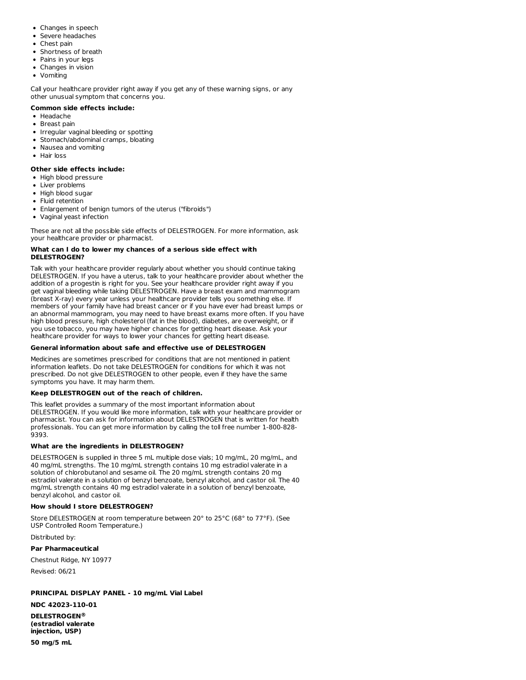- Changes in speech
- Severe headaches
- Chest pain
- Shortness of breath
- Pains in your legs
- Changes in vision
- Vomiting

Call your healthcare provider right away if you get any of these warning signs, or any other unusual symptom that concerns you.

# **Common side effects include:**

- Headache
- Breast pain
- Irregular vaginal bleeding or spotting
- Stomach/abdominal cramps, bloating
- Nausea and vomiting
- Hair loss

# **Other side effects include:**

- High blood pressure
- Liver problems
- High blood sugar
- Fluid retention
- Enlargement of benign tumors of the uterus ("fibroids")
- Vaginal yeast infection

These are not all the possible side effects of DELESTROGEN. For more information, ask your healthcare provider or pharmacist.

# **What can I do to lower my chances of a serious side effect with DELESTROGEN?**

Talk with your healthcare provider regularly about whether you should continue taking DELESTROGEN. If you have a uterus, talk to your healthcare provider about whether the addition of a progestin is right for you. See your healthcare provider right away if you get vaginal bleeding while taking DELESTROGEN. Have a breast exam and mammogram (breast X-ray) every year unless your healthcare provider tells you something else. If members of your family have had breast cancer or if you have ever had breast lumps or an abnormal mammogram, you may need to have breast exams more often. If you have high blood pressure, high cholesterol (fat in the blood), diabetes, are overweight, or if you use tobacco, you may have higher chances for getting heart disease. Ask your healthcare provider for ways to lower your chances for getting heart disease.

# **General information about safe and effective use of DELESTROGEN**

Medicines are sometimes prescribed for conditions that are not mentioned in patient information leaflets. Do not take DELESTROGEN for conditions for which it was not prescribed. Do not give DELESTROGEN to other people, even if they have the same symptoms you have. It may harm them.

# **Keep DELESTROGEN out of the reach of children.**

This leaflet provides a summary of the most important information about DELESTROGEN. If you would like more information, talk with your healthcare provider or pharmacist. You can ask for information about DELESTROGEN that is written for health professionals. You can get more information by calling the toll free number 1-800-828- 9393.

# **What are the ingredients in DELESTROGEN?**

DELESTROGEN is supplied in three 5 mL multiple dose vials; 10 mg/mL, 20 mg/mL, and 40 mg/mL strengths. The 10 mg/mL strength contains 10 mg estradiol valerate in a solution of chlorobutanol and sesame oil. The 20 mg/mL strength contains 20 mg estradiol valerate in a solution of benzyl benzoate, benzyl alcohol, and castor oil. The 40 mg/mL strength contains 40 mg estradiol valerate in a solution of benzyl benzoate, benzyl alcohol, and castor oil.

# **How should I store DELESTROGEN?**

Store DELESTROGEN at room temperature between 20° to 25°C (68° to 77°F). (See USP Controlled Room Temperature.)

Distributed by:

**Par Pharmaceutical**

Chestnut Ridge, NY 10977

Revised: 06/21

# **PRINCIPAL DISPLAY PANEL - 10 mg/mL Vial Label**

**NDC 42023-110-01**

**DELESTROGEN ®(estradiol valerate injection, USP)**

**50 mg/5 mL**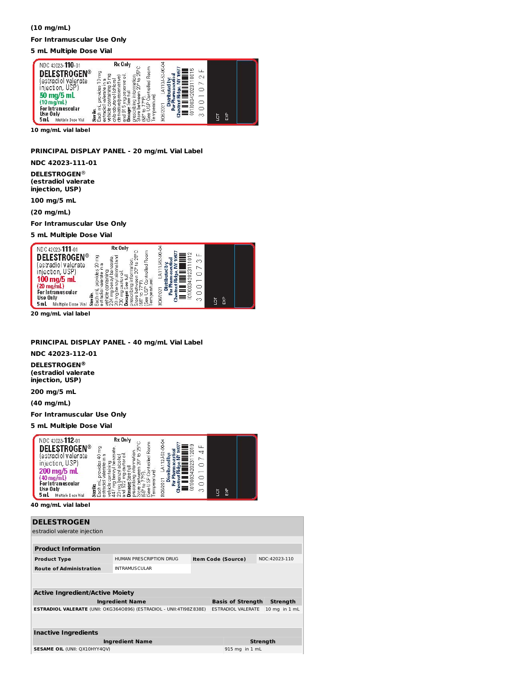#### **(10 mg/mL)**

**For Intramuscular Use Only**

# **5 mL Multiple Dose Vial**



**10 mg/mL vial label**

**PRINCIPAL DISPLAY PANEL - 20 mg/mL Vial Label**

**NDC 42023-111-01**

**DELESTROGEN** ® **(estradiol valerate injection, USP)**

**100 mg/5 mL**

**(20 mg/mL)**

**For Intramuscular Use Only**

### **5 mL Multiple Dose Vial**



#### **PRINCIPAL DISPLAY PANEL - 40 mg/mL Vial Label**

# **NDC 42023-112-01**

**DELESTROGEN ®(estradiol valerate injection, USP)**

**200 mg/5 mL**

**(40 mg/mL)**

**For Intramuscular Use Only**

### **5 mL Multiple Dose Vial**



**40 mg/mL vial label**

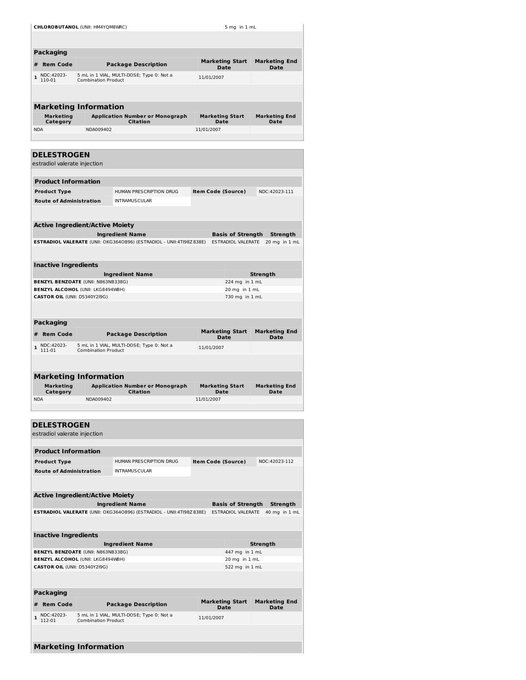| CHLOROBUTANOL (UNII: HM4YQM8WRC)                                                                                                                                                    |                            | 5 mg in 1 mL                                                                                                                   |            |                                       |                                     |
|-------------------------------------------------------------------------------------------------------------------------------------------------------------------------------------|----------------------------|--------------------------------------------------------------------------------------------------------------------------------|------------|---------------------------------------|-------------------------------------|
|                                                                                                                                                                                     |                            |                                                                                                                                |            |                                       |                                     |
| Packaging                                                                                                                                                                           |                            |                                                                                                                                |            |                                       |                                     |
| <b>Item Code</b><br>#                                                                                                                                                               |                            | <b>Package Description</b>                                                                                                     |            | <b>Marketing Start</b><br>Date        | <b>Marketing End</b><br>Date        |
| NDC:42023-<br>$\mathbf{1}$<br>110-01                                                                                                                                                | <b>Combination Product</b> | 5 mL in 1 VIAL, MULTI-DOSE; Type 0: Not a                                                                                      | 11/01/2007 |                                       |                                     |
| <b>Marketing Information</b>                                                                                                                                                        |                            |                                                                                                                                |            |                                       |                                     |
| Marketing<br>Category                                                                                                                                                               |                            | <b>Application Number or Monograph</b><br>Citation                                                                             |            | <b>Marketing Start</b><br>Date        | <b>Marketing End</b><br>Date        |
| <b>NDA</b>                                                                                                                                                                          | NDA009402                  |                                                                                                                                | 11/01/2007 |                                       |                                     |
| <b>DELESTROGEN</b><br>estradiol valerate injection                                                                                                                                  |                            |                                                                                                                                |            |                                       |                                     |
| <b>Product Information</b>                                                                                                                                                          |                            |                                                                                                                                |            |                                       |                                     |
| <b>Product Type</b>                                                                                                                                                                 |                            | HUMAN PRESCRIPTION DRUG                                                                                                        |            | Item Code (Source)                    | NDC:42023-111                       |
| <b>Route of Administration</b>                                                                                                                                                      |                            | <b>INTRAMUS CULAR</b>                                                                                                          |            |                                       |                                     |
|                                                                                                                                                                                     |                            |                                                                                                                                |            |                                       |                                     |
| <b>Active Ingredient/Active Moiety</b>                                                                                                                                              |                            |                                                                                                                                |            |                                       |                                     |
|                                                                                                                                                                                     |                            | <b>Ingredient Name</b>                                                                                                         |            | <b>Basis of Strength</b>              | Strength                            |
|                                                                                                                                                                                     |                            | ESTRADIOL VALERATE (UNII: OKG364O896) (ESTRADIOL - UNII:4TI98Z838E)                                                            |            | <b>ESTRADIOL VALERATE</b>             | 20 mg in 1 mL                       |
| Inactive Ingredients                                                                                                                                                                |                            | <b>Ingredient Name</b>                                                                                                         |            |                                       | <b>Strength</b>                     |
| <b>BENZYL BENZOATE (UNII: N863NB338G)</b>                                                                                                                                           |                            |                                                                                                                                |            | 224 mg in 1 mL                        |                                     |
| <b>BENZYL ALCOHOL (UNII: LKG8494WBH)</b>                                                                                                                                            |                            |                                                                                                                                |            | 20 mg in 1 mL                         |                                     |
| <b>CASTOR OIL (UNII: D5340Y2I9G)</b>                                                                                                                                                |                            |                                                                                                                                |            | 730 mg in 1 mL                        |                                     |
| Packaging                                                                                                                                                                           |                            |                                                                                                                                |            |                                       |                                     |
| <b>Item Code</b><br>#                                                                                                                                                               |                            | <b>Package Description</b>                                                                                                     |            | <b>Marketing Start</b><br><b>Date</b> | <b>Marketing End</b><br><b>Date</b> |
| NDC:42023-<br>$\mathbf{1}$<br>111-01                                                                                                                                                | <b>Combination Product</b> | 5 mL in 1 VIAL, MULTI-DOSE; Type 0: Not a                                                                                      | 11/01/2007 |                                       |                                     |
|                                                                                                                                                                                     |                            |                                                                                                                                |            |                                       |                                     |
| <b>Marketing Information</b>                                                                                                                                                        |                            |                                                                                                                                |            |                                       |                                     |
| Marketing                                                                                                                                                                           |                            | <b>Application Number or Monograph</b>                                                                                         |            | <b>Marketing Start</b>                | <b>Marketing End</b>                |
| Category<br><b>NDA</b>                                                                                                                                                              | NDA009402                  | <b>Citation</b>                                                                                                                | 11/01/2007 | Date                                  | <b>Date</b>                         |
|                                                                                                                                                                                     |                            |                                                                                                                                |            |                                       |                                     |
|                                                                                                                                                                                     |                            |                                                                                                                                |            |                                       |                                     |
|                                                                                                                                                                                     |                            | HUMAN PRESCRIPTION DRUG                                                                                                        |            | Item Code (Source)                    | NDC:42023-112                       |
|                                                                                                                                                                                     |                            | INTRAMUS CULAR                                                                                                                 |            |                                       |                                     |
|                                                                                                                                                                                     |                            |                                                                                                                                |            |                                       |                                     |
| <b>DELESTROGEN</b><br>estradiol valerate injection<br><b>Product Information</b><br><b>Product Type</b><br><b>Route of Administration</b><br><b>Active Ingredient/Active Moiety</b> |                            | <b>Ingredient Name</b><br>ESTRADIOL VALERATE (UNII: OKG3640896) (ESTRADIOL - UNII:4TI98Z838E) ESTRADIOL VALERATE 40 mg in 1 mL |            | <b>Basis of Strength</b>              | Strength                            |
| <b>Inactive Ingredients</b>                                                                                                                                                         |                            |                                                                                                                                |            |                                       |                                     |
|                                                                                                                                                                                     |                            | <b>Ingredient Name</b>                                                                                                         |            |                                       | Strength                            |
| <b>BENZYL BENZOATE (UNII: N863NB338G)</b><br><b>BENZYL ALCOHOL (UNII: LKG8494WBH)</b>                                                                                               |                            |                                                                                                                                |            | 447 mg in 1 mL<br>20 mg in 1 mL       |                                     |

| <b>Packaging</b> |                      |                                                                  |                                |                                     |  |
|------------------|----------------------|------------------------------------------------------------------|--------------------------------|-------------------------------------|--|
|                  | <b>Item Code</b>     | <b>Package Description</b>                                       | <b>Marketing Start</b><br>Date | <b>Marketing End</b><br><b>Date</b> |  |
|                  | NDC:42023-<br>112-01 | 5 mL in 1 VIAL, MULTI-DOSE; Type 0: Not a<br>Combination Product | 11/01/2007                     |                                     |  |
|                  |                      |                                                                  |                                |                                     |  |
|                  |                      |                                                                  |                                |                                     |  |

# **Marketing Information**